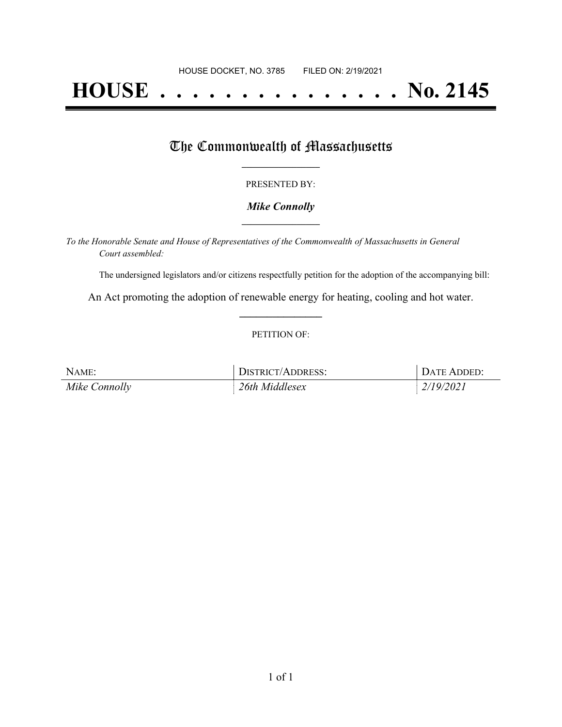# **HOUSE . . . . . . . . . . . . . . . No. 2145**

## The Commonwealth of Massachusetts

#### PRESENTED BY:

#### *Mike Connolly* **\_\_\_\_\_\_\_\_\_\_\_\_\_\_\_\_\_**

*To the Honorable Senate and House of Representatives of the Commonwealth of Massachusetts in General Court assembled:*

The undersigned legislators and/or citizens respectfully petition for the adoption of the accompanying bill:

An Act promoting the adoption of renewable energy for heating, cooling and hot water. **\_\_\_\_\_\_\_\_\_\_\_\_\_\_\_**

#### PETITION OF:

| NAME:         | DISTRICT/ADDRESS: | DATE ADDED: |
|---------------|-------------------|-------------|
| Mike Connolly | 26th Middlesex    | 2/19/2021   |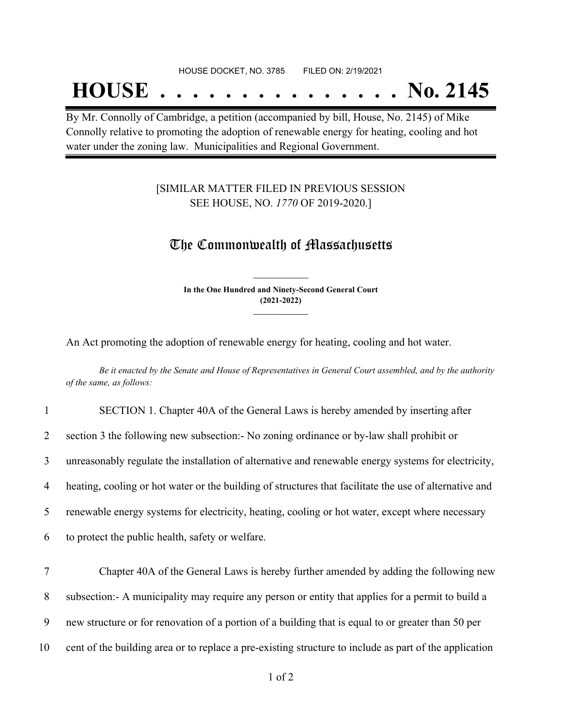## **HOUSE . . . . . . . . . . . . . . . No. 2145**

By Mr. Connolly of Cambridge, a petition (accompanied by bill, House, No. 2145) of Mike Connolly relative to promoting the adoption of renewable energy for heating, cooling and hot water under the zoning law. Municipalities and Regional Government.

### [SIMILAR MATTER FILED IN PREVIOUS SESSION SEE HOUSE, NO. *1770* OF 2019-2020.]

## The Commonwealth of Massachusetts

**In the One Hundred and Ninety-Second General Court (2021-2022) \_\_\_\_\_\_\_\_\_\_\_\_\_\_\_**

**\_\_\_\_\_\_\_\_\_\_\_\_\_\_\_**

An Act promoting the adoption of renewable energy for heating, cooling and hot water.

Be it enacted by the Senate and House of Representatives in General Court assembled, and by the authority *of the same, as follows:*

| $\mathbf{1}$ | SECTION 1. Chapter 40A of the General Laws is hereby amended by inserting after                        |
|--------------|--------------------------------------------------------------------------------------------------------|
| 2            | section 3 the following new subsection: No zoning ordinance or by-law shall prohibit or                |
| 3            | unreasonably regulate the installation of alternative and renewable energy systems for electricity,    |
| 4            | heating, cooling or hot water or the building of structures that facilitate the use of alternative and |
| 5            | renewable energy systems for electricity, heating, cooling or hot water, except where necessary        |
| 6            | to protect the public health, safety or welfare.                                                       |
| 7            | Chapter 40A of the General Laws is hereby further amended by adding the following new                  |
| 8            | subsection:- A municipality may require any person or entity that applies for a permit to build a      |
| 9            | new structure or for renovation of a portion of a building that is equal to or greater than 50 per     |
| 10           | cent of the building area or to replace a pre-existing structure to include as part of the application |